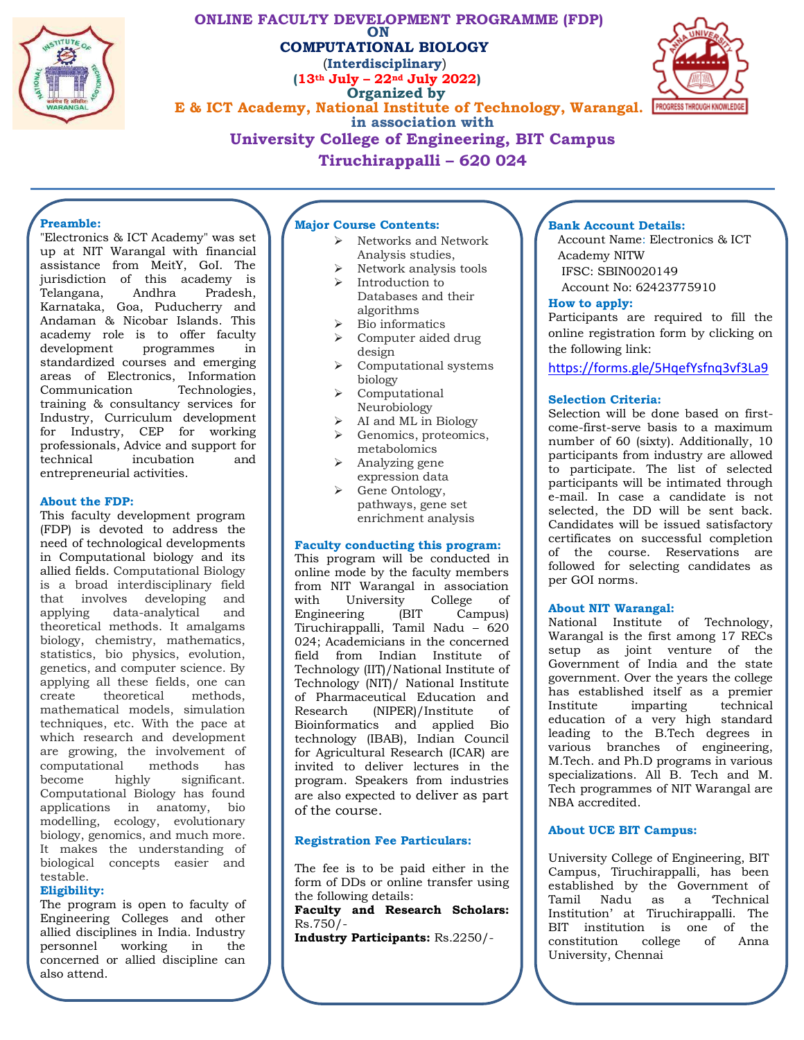

### **ONLINE FACULTY DEVELOPMENT PROGRAMME (FDP) ON COMPUTATIONAL BIOLOGY** (**Interdisciplinary**) **(13th July – 22nd July 2022) Organized by E & ICT Academy, National Institute of Technology, Warangal.** PROGRESS THROUGH KNOWLEDGE **in association with University College of Engineering, BIT Campus Tiruchirappalli – 620 024**



## **Preamble:**

"Electronics & ICT Academy" was set up at NIT Warangal with financial assistance from MeitY, GoI. The jurisdiction of this academy is Telangana, Andhra Pradesh, Karnataka, Goa, Puducherry and Andaman & Nicobar Islands. This academy role is to offer faculty<br>development programmes in programmes in standardized courses and emerging areas of Electronics, Information Communication training & consultancy services for Industry, Curriculum development for Industry, CEP for working professionals, Advice and support for incubation and entrepreneurial activities.

#### **About the FDP:**

This faculty development program (FDP) is devoted to address the need of technological developments in Computational biology and its allied fields. Computational Biology is a broad interdisciplinary field that involves developing and<br>applying data-analytical and applying data-analytical theoretical methods. It amalgams biology, chemistry, mathematics, statistics, bio physics, evolution, genetics, and computer science. By applying all these fields, one can create theoretical methods, mathematical models, simulation techniques, etc. With the pace at which research and development are growing, the involvement of computational methods has become highly significant. Computational Biology has found applications in anatomy, bio modelling, ecology, evolutionary biology, genomics, and much more. It makes the understanding of biological concepts easier and testable.

### **Eligibility:**

The program is open to faculty of Engineering Colleges and other allied disciplines in India. Industry personnel working in the concerned or allied discipline can also attend.

### **Major Course Contents:**

- $\triangleright$  Networks and Network Analysis studies,
- Network analysis tools  $\triangleright$  Introduction to
- Databases and their algorithms
- $\triangleright$  Bio informatics
- $\triangleright$  Computer aided drug design
- **\** Computational systems biology
- Computational Neurobiology
- $\triangleright$  AI and ML in Biology
- **►** Genomics, proteomics, metabolomics
- $\triangleright$  Analyzing gene expression data
- $\triangleright$  Gene Ontology, pathways, gene set enrichment analysis

#### **Faculty conducting this program:**

This program will be conducted in online mode by the faculty members from NIT Warangal in association with University College of<br>Engineering (BIT Campus) Engineering (BIT Campus) Tiruchirappalli, Tamil Nadu – 620 024; Academicians in the concerned field from Indian Institute of Technology (IIT)/National Institute of Technology (NIT)/ National Institute of Pharmaceutical Education and Research (NIPER)/Institute of Bioinformatics and applied Bio technology (IBAB), Indian Council for Agricultural Research (ICAR) are invited to deliver lectures in the program. Speakers from industries are also expected to deliver as part of the course.

### **Registration Fee Particulars:**

The fee is to be paid either in the form of DDs or online transfer using the following details:

**Faculty and Research Scholars:** Rs.750/-

**Industry Participants:** Rs.2250/-

## **Bank Account Details:**

Account Name: Electronics & ICT Academy NITW IFSC: SBIN0020149 Account No: 62423775910

#### **How to apply:**

Participants are required to fill the online registration form by clicking on the following link:

<https://forms.gle/5HqefYsfnq3vf3La9>

### **Selection Criteria:**

Selection will be done based on firstcome-first-serve basis to a maximum number of 60 (sixty). Additionally, 10 participants from industry are allowed to participate. The list of selected participants will be intimated through e-mail. In case a candidate is not selected, the DD will be sent back. Candidates will be issued satisfactory certificates on successful completion of the course. Reservations are followed for selecting candidates as per GOI norms.

### **About NIT Warangal:**

National Institute of Technology, Warangal is the first among 17 RECs setup as joint venture of the Government of India and the state government. Over the years the college has established itself as a premier Institute imparting technical education of a very high standard leading to the B.Tech degrees in various branches of engineering, M.Tech. and Ph.D programs in various specializations. All B. Tech and M. Tech programmes of NIT Warangal are NBA accredited.

### **About UCE BIT Campus:**

University College of Engineering, BIT Campus, Tiruchirappalli, has been established by the Government of<br>Tamil Nadu as a Technical Tamil Nadu as Institution' at Tiruchirappalli. The BIT institution is one of the<br>constitution college of Anna constitution college University, Chennai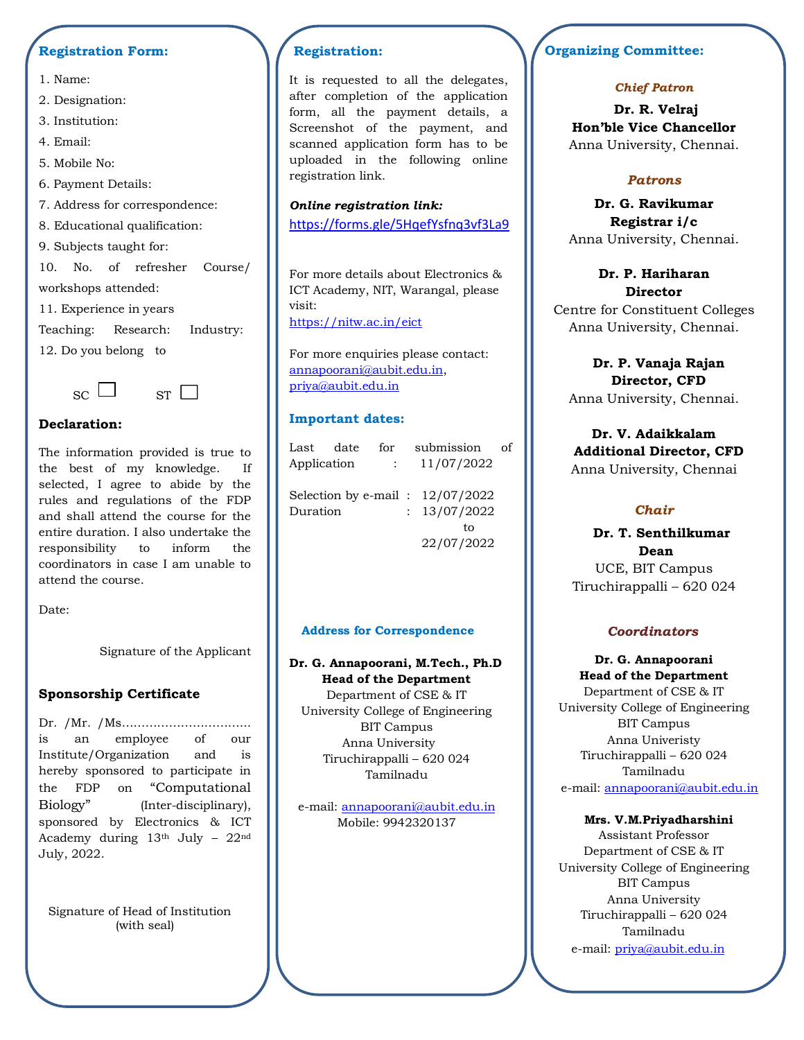# **Registration Form:**

- 1. Name:
- 2. Designation:
- 3. Institution:
- 4. Email:
- 5. Mobile No:
- 6. Payment Details:
- 7. Address for correspondence:
- 8. Educational qualification:

9. Subjects taught for:

10. No. of refresher Course/ workshops attended:

11. Experience in years

Teaching: Research: Industry: 12. Do you belong to





## **Declaration:**

The information provided is true to the best of my knowledge. If selected, I agree to abide by the rules and regulations of the FDP and shall attend the course for the entire duration. I also undertake the responsibility to inform the coordinators in case I am unable to attend the course.

Date:

Signature of the Applicant

## **Sponsorship Certificate**

Dr. /Mr. /Ms…………………………... is an employee of our Institute/Organization and is hereby sponsored to participate in the FDP on "Computational Biology" (Inter-disciplinary), sponsored by Electronics & ICT Academy during  $13<sup>th</sup>$  July -  $22<sup>nd</sup>$ July, 2022.

Signature of Head of Institution (with seal)

# **Registration:**

It is requested to all the delegates, after completion of the application form, all the payment details, a Screenshot of the payment, and scanned application form has to be uploaded in the following online registration link.

### *Online registration link:*

<https://forms.gle/5HqefYsfnq3vf3La9>

For more details about Electronics & ICT Academy, NIT, Warangal, please visit: <https://nitw.ac.in/eict>

For more enquiries please contact: [annapoorani@aubit.edu.in,](mailto:annapoorani@aubit.edu.in) [priya@aubit.edu.in](mailto:priya@aubit.edu.in)

## **Important dates:**

| Last                               | date | for        |  | submission   | οf |
|------------------------------------|------|------------|--|--------------|----|
| Application<br>$\mathcal{L}$       |      | 11/07/2022 |  |              |    |
|                                    |      |            |  |              |    |
| Selection by e-mail : $12/07/2022$ |      |            |  |              |    |
| Duration                           |      |            |  | : 13/07/2022 |    |
|                                    |      |            |  | tο           |    |
|                                    |      |            |  | 22/07/2022   |    |
|                                    |      |            |  |              |    |

### **Address for Correspondence**

### **Dr. G. Annapoorani, M.Tech., Ph.D Head of the Department**

Department of CSE & IT University College of Engineering BIT Campus Anna University Tiruchirappalli – 620 024 Tamilnadu

e-mail: [annapoorani@aubit.edu.in](mailto:annapoorani@aubit.edu.in) Mobile: 9942320137

# **Organizing Committee:**

# *Chief Patron*

**Dr. R. Velraj Hon'ble Vice Chancellor** Anna University, Chennai.

# *Patrons*

**Dr. G. Ravikumar Registrar i/c** Anna University, Chennai.

**Dr. P. Hariharan Director** Centre for Constituent Colleges Anna University, Chennai.

**Dr. P. Vanaja Rajan Director, CFD** Anna University, Chennai.

**Dr. V. Adaikkalam Additional Director, CFD** Anna University, Chennai

# *Chair*

**Dr. T. Senthilkumar Dean** UCE, BIT Campus Tiruchirappalli – 620 024

## *Coordinators*

**Dr. G. Annapoorani Head of the Department**  Department of CSE & IT University College of Engineering BIT Campus Anna Univeristy Tiruchirappalli – 620 024 Tamilnadu e-mail: [annapoorani@aubit.edu.in](mailto:annapoorani@aubit.edu.in)

## **Mrs. V.M.Priyadharshini**

Assistant Professor Department of CSE & IT University College of Engineering BIT Campus Anna University Tiruchirappalli – 620 024 Tamilnadu e-mail: [priya@aubit.edu.in](mailto:priya@aubit.edu.in)